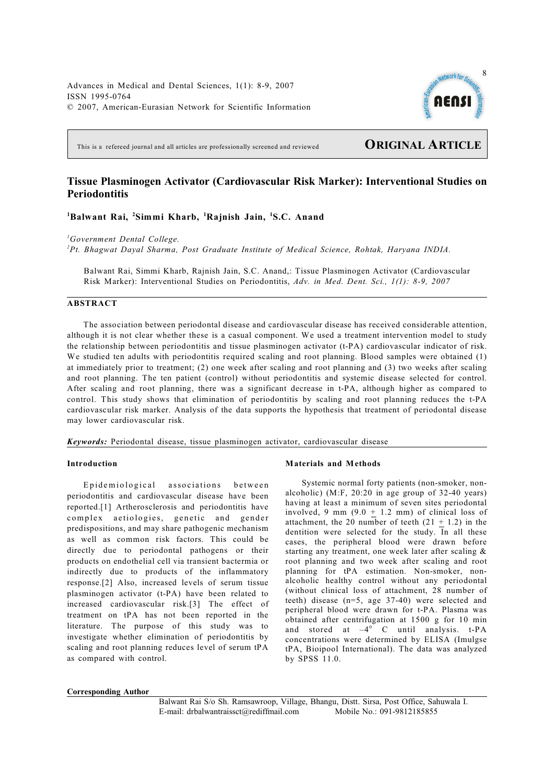Advances in Medical and Dental Sciences, 1(1): 8-9, 2007 ISSN 1995-0764 © 2007, American-Eurasian Network for Scientific Information



This is a refereed journal and all articles are professionally screened and reviewed **ORIGINAL ARTICLE**

# **Tissue Plasminogen Activator (Cardiovascular Risk Marker): Interventional Studies on Periodontitis**

**Balwant Rai, Simmi Kharb, Rajnish Jain, S.C. Anand 1 2 <sup>1</sup> <sup>1</sup>**

*Government Dental College. <sup>1</sup>*

*Pt. Bhagwat Dayal Sharma, Post Graduate Institute of Medical Science, Rohtak, Haryana INDIA. <sup>2</sup>*

Balwant Rai, Simmi Kharb, Rajnish Jain, S.C. Anand,: Tissue Plasminogen Activator (Cardiovascular Risk Marker): Interventional Studies on Periodontitis, *Adv. in Med. Dent. Sci., 1(1): 8-9, 2007*

# **ABSTRACT**

The association between periodontal disease and cardiovascular disease has received considerable attention, although it is not clear whether these is a casual component. We used a treatment intervention model to study the relationship between periodontitis and tissue plasminogen activator (t-PA) cardiovascular indicator of risk. We studied ten adults with periodontitis required scaling and root planning. Blood samples were obtained (1) at immediately prior to treatment; (2) one week after scaling and root planning and (3) two weeks after scaling and root planning. The ten patient (control) without periodontitis and systemic disease selected for control. After scaling and root planning, there was a significant decrease in t-PA, although higher as compared to control. This study shows that elimination of periodontitis by scaling and root planning reduces the t-PA cardiovascular risk marker. Analysis of the data supports the hypothesis that treatment of periodontal disease may lower cardiovascular risk.

*Keywords:* Periodontal disease, tissue plasminogen activator, cardiovascular disease

# **Introduction**

Epidemiological associations between periodontitis and cardiovascular disease have been reported.[1] Artherosclerosis and periodontitis have complex aetiologies, genetic and gender predispositions, and may share pathogenic mechanism as well as common risk factors. This could be directly due to periodontal pathogens or their products on endothelial cell via transient bactermia or indirectly due to products of the inflammatory response.[2] Also, increased levels of serum tissue plasminogen activator (t-PA) have been related to increased cardiovascular risk.[3] The effect of treatment on tPA has not been reported in the literature. The purpose of this study was to investigate whether elimination of periodontitis by scaling and root planning reduces level of serum tPA as compared with control.

## **Materials and Methods**

Systemic normal forty patients (non-smoker, nonalcoholic) (M:F, 20:20 in age group of 32-40 years) having at least a minimum of seven sites periodontal involved, 9 mm  $(9.0 + 1.2$  mm) of clinical loss of attachment, the 20 number of teeth  $(21 + 1.2)$  in the dentition were selected for the study. In all these cases, the peripheral blood were drawn before starting any treatment, one week later after scaling & root planning and two week after scaling and root planning for tPA estimation. Non-smoker, nonalcoholic healthy control without any periodontal (without clinical loss of attachment, 28 number of teeth) disease (n=5, age 37-40) were selected and peripheral blood were drawn for t-PA. Plasma was obtained after centrifugation at 1500 g for 10 min and stored at  $-4^\circ$  C until analysis. t-PA concentrations were determined by ELISA (Imulgse tPA, Bioipool International). The data was analyzed by SPSS 11.0.

#### **Corresponding Author**

Balwant Rai S/o Sh. Ramsawroop, Village, Bhangu, Distt. Sirsa, Post Office, Sahuwala I. E-mail: drbalwantraissct@rediffmail.com Mobile No.: 091-9812185855